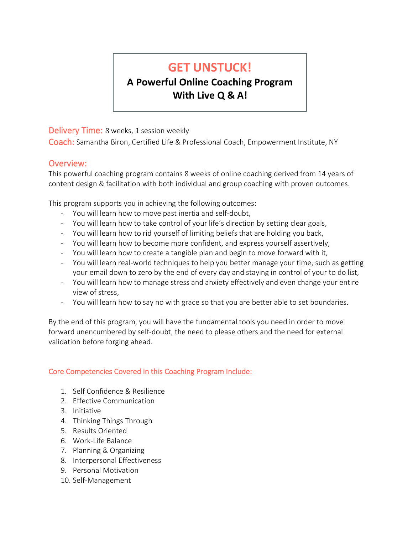# **GET UNSTUCK!**

# **A Powerful Online Coaching Program With Live Q & A!**

Delivery Time: 8 weeks, 1 session weekly

Coach: Samantha Biron, Certified Life & Professional Coach, Empowerment Institute, NY

# Overview:

This powerful coaching program contains 8 weeks of online coaching derived from 14 years of content design & facilitation with both individual and group coaching with proven outcomes.

This program supports you in achieving the following outcomes:

- You will learn how to move past inertia and self-doubt,
- You will learn how to take control of your life's direction by setting clear goals,
- You will learn how to rid yourself of limiting beliefs that are holding you back,
- You will learn how to become more confident, and express yourself assertively,
- You will learn how to create a tangible plan and begin to move forward with it,
- You will learn real-world techniques to help you better manage your time, such as getting your email down to zero by the end of every day and staying in control of your to do list,
- You will learn how to manage stress and anxiety effectively and even change your entire view of stress,
- You will learn how to say no with grace so that you are better able to set boundaries.

By the end of this program, you will have the fundamental tools you need in order to move forward unencumbered by self-doubt, the need to please others and the need for external validation before forging ahead.

#### Core Competencies Covered in this Coaching Program Include:

- 1. Self Confidence & Resilience
- 2. Effective Communication
- 3. Initiative
- 4. Thinking Things Through
- 5. Results Oriented
- 6. Work-Life Balance
- 7. Planning & Organizing
- 8. Interpersonal Effectiveness
- 9. Personal Motivation
- 10. Self-Management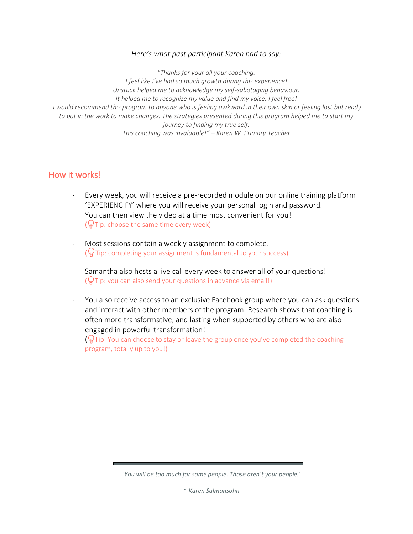#### *Here's what past participant Karen had to say:*

*"Thanks for your all your coaching. I feel like I've had so much growth during this experience! Unstuck helped me to acknowledge my self-sabotaging behaviour. It helped me to recognize my value and find my voice. I feel free! I would recommend this program to anyone who is feeling awkward in their own skin or feeling lost but ready to put in the work to make changes. The strategies presented during this program helped me to start my journey to finding my true self. This coaching was invaluable!" – Karen W. Primary Teacher*

#### How it works!

- Every week, you will receive a pre-recorded module on our online training platform 'EXPERIENCIFY' where you will receive your personal login and password. You can then view the video at a time most convenient for you!  $(\mathbb{Q}$  Tip: choose the same time every week)
- Most sessions contain a weekly assignment to complete.  $\sqrt{\omega}$ Tip: completing your assignment is fundamental to your success)

Samantha also hosts a live call every week to answer all of your questions!  $\left(\frac{1}{N}\right)$ Tip: you can also send your questions in advance via email!)

 You also receive access to an exclusive Facebook group where you can ask questions and interact with other members of the program. Research shows that coaching is often more transformative, and lasting when supported by others who are also engaged in powerful transformation!

 $(\mathbb{Q})$  Tip: You can choose to stay or leave the group once you've completed the coaching program, totally up to you!)

*'You will be too much for some people. Those aren't your people.'*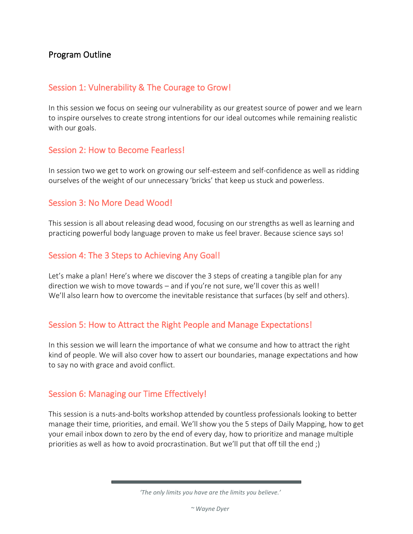# Program Outline

#### Session 1: Vulnerability & The Courage to Grow!

In this session we focus on seeing our vulnerability as our greatest source of power and we learn to inspire ourselves to create strong intentions for our ideal outcomes while remaining realistic with our goals.

### Session 2: How to Become Fearless!

In session two we get to work on growing our self-esteem and self-confidence as well as ridding ourselves of the weight of our unnecessary 'bricks' that keep us stuck and powerless.

### Session 3: No More Dead Wood!

This session is all about releasing dead wood, focusing on our strengths as well as learning and practicing powerful body language proven to make us feel braver. Because science says so!

# Session 4: The 3 Steps to Achieving Any Goal!

Let's make a plan! Here's where we discover the 3 steps of creating a tangible plan for any direction we wish to move towards – and if you're not sure, we'll cover this as well! We'll also learn how to overcome the inevitable resistance that surfaces (by self and others).

# Session 5: How to Attract the Right People and Manage Expectations!

In this session we will learn the importance of what we consume and how to attract the right kind of people. We will also cover how to assert our boundaries, manage expectations and how to say no with grace and avoid conflict.

# Session 6: Managing our Time Effectively!

This session is a nuts-and-bolts workshop attended by countless professionals looking to better manage their time, priorities, and email. We'll show you the 5 steps of Daily Mapping, how to get your email inbox down to zero by the end of every day, how to prioritize and manage multiple priorities as well as how to avoid procrastination. But we'll put that off till the end ;)

*<sup>&#</sup>x27;The only limits you have are the limits you believe.'*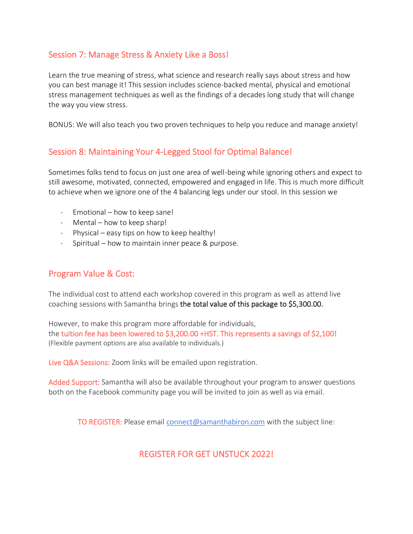# Session 7: Manage Stress & Anxiety Like a Boss!

Learn the true meaning of stress, what science and research really says about stress and how you can best manage it! This session includes science-backed mental, physical and emotional stress management techniques as well as the findings of a decades long study that will change the way you view stress.

BONUS: We will also teach you two proven techniques to help you reduce and manage anxiety!

# Session 8: Maintaining Your 4-Legged Stool for Optimal Balance!

Sometimes folks tend to focus on just one area of well-being while ignoring others and expect to still awesome, motivated, connected, empowered and engaged in life. This is much more difficult to achieve when we ignore one of the 4 balancing legs under our stool. In this session we

- $\cdot$  Emotional how to keep sane!
- $\cdot$  Mental how to keep sharp!
- $\cdot$  Physical easy tips on how to keep healthy!
- $\cdot$  Spiritual how to maintain inner peace & purpose.

#### Program Value & Cost:

The individual cost to attend each workshop covered in this program as well as attend live coaching sessions with Samantha brings the total value of this package to \$5,300.00.

However, to make this program more affordable for individuals, the tuition fee has been lowered to \$3,200.00 +HST. This represents a savings of \$2,100! (Flexible payment options are also available to individuals.)

Live Q&A Sessions: Zoom links will be emailed upon registration.

Added Support: Samantha will also be available throughout your program to answer questions both on the Facebook community page you will be invited to join as well as via email.

TO REGISTER: Please email [connect@samanthabiron.com](mailto:connect@samanthabiron.com) with the subject line:

# REGISTER FOR GET UNSTUCK 2022!